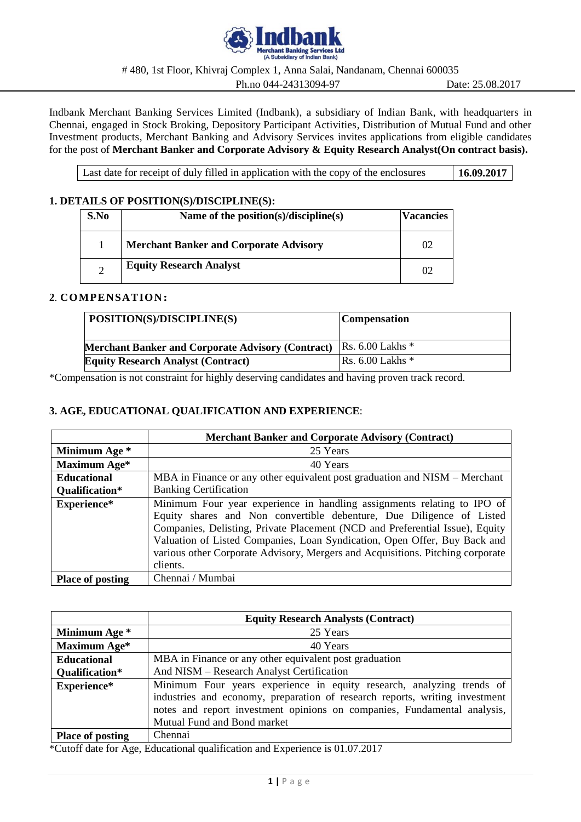

# 480, 1st Floor, Khivraj Complex 1, Anna Salai, Nandanam, Chennai 600035

Ph.no 044-24313094-97 Date: 25.08.2017

Indbank Merchant Banking Services Limited (Indbank), a subsidiary of Indian Bank, with headquarters in Chennai, engaged in Stock Broking, Depository Participant Activities, Distribution of Mutual Fund and other Investment products, Merchant Banking and Advisory Services invites applications from eligible candidates for the post of **Merchant Banker and Corporate Advisory & Equity Research Analyst(On contract basis).**

Last date for receipt of duly filled in application with the copy of the enclosures **16.09.2017** 

# **1. DETAILS OF POSITION(S)/DISCIPLINE(S):**

| S.No | Name of the position(s)/discipline(s)         | <b>Vacancies</b> |
|------|-----------------------------------------------|------------------|
|      | <b>Merchant Banker and Corporate Advisory</b> | 02               |
|      | <b>Equity Research Analyst</b>                | 02               |

# **2**. **COMPENSATION:**

| POSITION(S)/DISCIPLINE(S)                                | <b>Compensation</b>                  |
|----------------------------------------------------------|--------------------------------------|
| <b>Merchant Banker and Corporate Advisory (Contract)</b> | $\vert$ Rs. 6.00 Lakhs $*$           |
| <b>Equity Research Analyst (Contract)</b>                | $\textsf{Rs. 6.00}$ Lakhs $\text{*}$ |

\*Compensation is not constraint for highly deserving candidates and having proven track record.

# **3. AGE, EDUCATIONAL QUALIFICATION AND EXPERIENCE**:

|                         | <b>Merchant Banker and Corporate Advisory (Contract)</b>                       |
|-------------------------|--------------------------------------------------------------------------------|
| Minimum Age *           | 25 Years                                                                       |
| Maximum Age*            | 40 Years                                                                       |
| <b>Educational</b>      | MBA in Finance or any other equivalent post graduation and NISM – Merchant     |
| Qualification*          | <b>Banking Certification</b>                                                   |
| Experience*             | Minimum Four year experience in handling assignments relating to IPO of        |
|                         | Equity shares and Non convertible debenture, Due Diligence of Listed           |
|                         | Companies, Delisting, Private Placement (NCD and Preferential Issue), Equity   |
|                         | Valuation of Listed Companies, Loan Syndication, Open Offer, Buy Back and      |
|                         | various other Corporate Advisory, Mergers and Acquisitions. Pitching corporate |
|                         | clients.                                                                       |
| <b>Place of posting</b> | Chennai / Mumbai                                                               |

|                         | <b>Equity Research Analysts (Contract)</b>                                                                                                                                                                                                                      |
|-------------------------|-----------------------------------------------------------------------------------------------------------------------------------------------------------------------------------------------------------------------------------------------------------------|
| Minimum Age *           | 25 Years                                                                                                                                                                                                                                                        |
| Maximum Age*            | 40 Years                                                                                                                                                                                                                                                        |
| <b>Educational</b>      | MBA in Finance or any other equivalent post graduation                                                                                                                                                                                                          |
| Qualification*          | And NISM - Research Analyst Certification                                                                                                                                                                                                                       |
| Experience*             | Minimum Four years experience in equity research, analyzing trends of<br>industries and economy, preparation of research reports, writing investment<br>notes and report investment opinions on companies, Fundamental analysis,<br>Mutual Fund and Bond market |
| <b>Place of posting</b> | Chennai                                                                                                                                                                                                                                                         |

\*Cutoff date for Age, Educational qualification and Experience is 01.07.2017